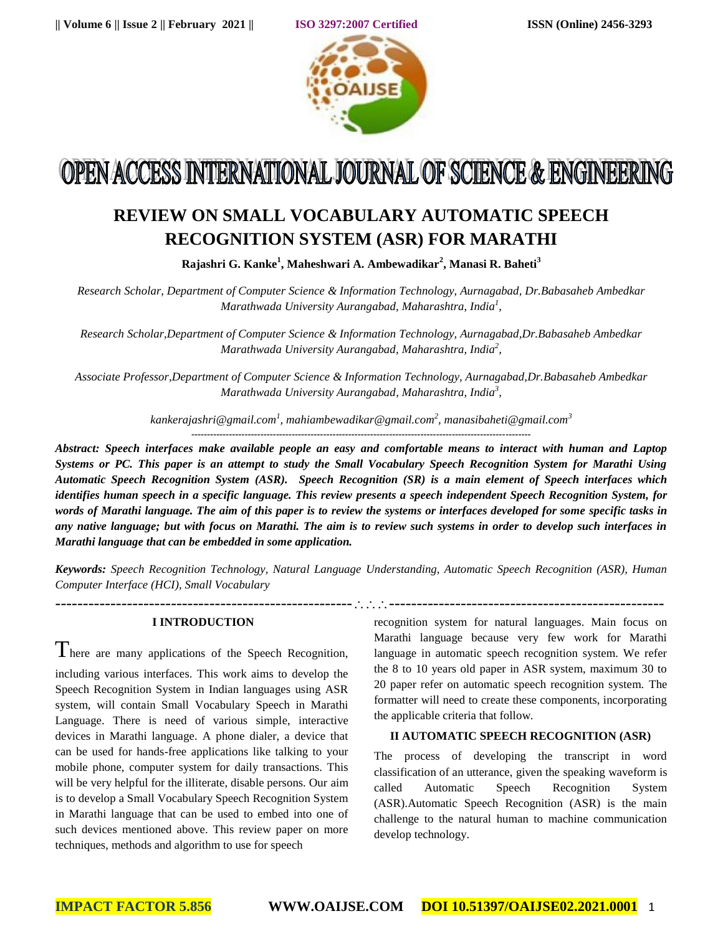

# OPEN ACCESS INTERNATIONAL JOURNAL OF SCIENCE & ENGINEERING

# **REVIEW ON SMALL VOCABULARY AUTOMATIC SPEECH RECOGNITION SYSTEM (ASR) FOR MARATHI**

**Rajashri G. Kanke<sup>1</sup> , Maheshwari A. Ambewadikar<sup>2</sup> , Manasi R. Baheti<sup>3</sup>**

*Research Scholar, Department of Computer Science & Information Technology, Aurnagabad, Dr.Babasaheb Ambedkar Marathwada University Aurangabad, Maharashtra, India<sup>1</sup> ,*

*Research Scholar,Department of Computer Science & Information Technology, Aurnagabad,Dr.Babasaheb Ambedkar Marathwada University Aurangabad, Maharashtra, India<sup>2</sup> ,*

*Associate Professor,Department of Computer Science & Information Technology, Aurnagabad,Dr.Babasaheb Ambedkar Marathwada University Aurangabad, Maharashtra, India<sup>3</sup> ,*

*[kankerajashri@gmail.com](mailto:kankerajashri@gmail.com1)<sup>1</sup> , [mahiambewadikar@gmail.com](mailto:mahiambewadikar@gmail.com2)<sup>2</sup> , [manasibaheti@gmail.com](mailto:manasibaheti@gmail.com)<sup>3</sup>*

*Abstract: Speech interfaces make available people an easy and comfortable means to interact with human and Laptop Systems or PC. This paper is an attempt to study the Small Vocabulary Speech Recognition System for Marathi Using Automatic Speech Recognition System (ASR). Speech Recognition (SR) is a main element of Speech interfaces which identifies human speech in a specific language. This review presents a speech independent Speech Recognition System, for words of Marathi language. The aim of this paper is to review the systems or interfaces developed for some specific tasks in any native language; but with focus on Marathi. The aim is to review such systems in order to develop such interfaces in Marathi language that can be embedded in some application.* 

*Keywords: Speech Recognition Technology, Natural Language Understanding, Automatic Speech Recognition (ASR), Human Computer Interface (HCI), Small Vocabulary*

--------------------------------------------------------------------------------------------------------

# **I INTRODUCTION**

 $\Gamma$  here are many applications of the Speech Recognition, including various interfaces. This work aims to develop the Speech Recognition System in Indian languages using ASR system, will contain Small Vocabulary Speech in Marathi Language. There is need of various simple, interactive devices in Marathi language. A phone dialer, a device that can be used for hands-free applications like talking to your mobile phone, computer system for daily transactions. This will be very helpful for the illiterate, disable persons. Our aim is to develop a Small Vocabulary Speech Recognition System in Marathi language that can be used to embed into one of such devices mentioned above. This review paper on more techniques, methods and algorithm to use for speech

recognition system for natural languages. Main focus on Marathi language because very few work for Marathi language in automatic speech recognition system. We refer the 8 to 10 years old paper in ASR system, maximum 30 to 20 paper refer on automatic speech recognition system. The formatter will need to create these components, incorporating the applicable criteria that follow.

# **II AUTOMATIC SPEECH RECOGNITION (ASR)**

The process of developing the transcript in word classification of an utterance, given the speaking waveform is called Automatic Speech Recognition System (ASR).Automatic Speech Recognition (ASR) is the main challenge to the natural human to machine communication develop technology.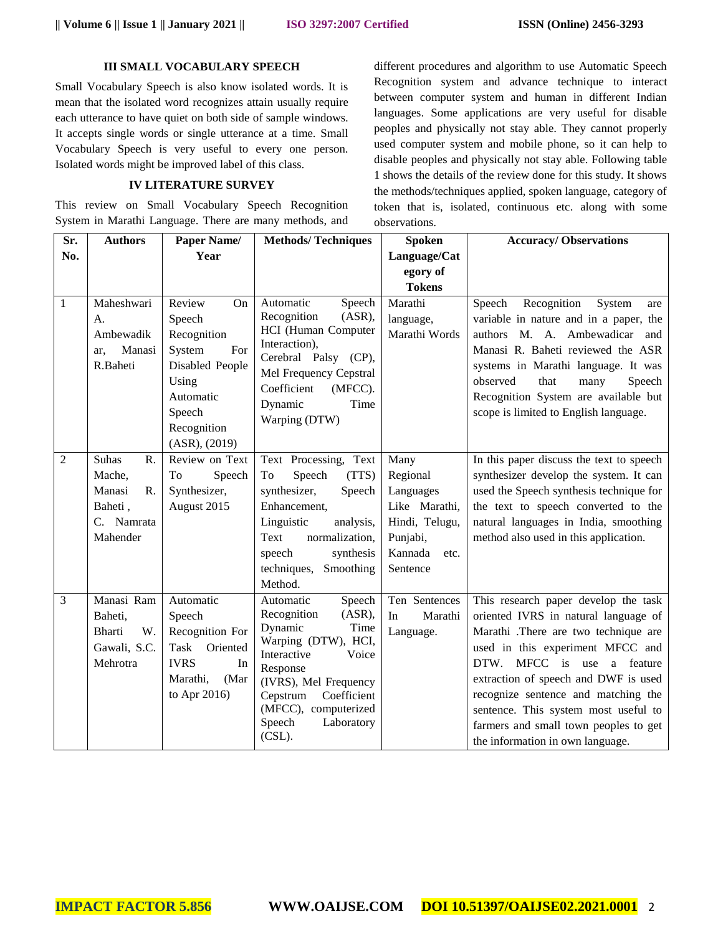### **III SMALL VOCABULARY SPEECH**

Small Vocabulary Speech is also know isolated words. It is mean that the isolated word recognizes attain usually require each utterance to have quiet on both side of sample windows. It accepts single words or single utterance at a time. Small Vocabulary Speech is very useful to every one person. Isolated words might be improved label of this class.

# **IV LITERATURE SURVEY**

This review on Small Vocabulary Speech Recognition System in Marathi Language. There are many methods, and different procedures and algorithm to use Automatic Speech Recognition system and advance technique to interact between computer system and human in different Indian languages. Some applications are very useful for disable peoples and physically not stay able. They cannot properly used computer system and mobile phone, so it can help to disable peoples and physically not stay able. Following table 1 shows the details of the review done for this study. It shows the methods/techniques applied, spoken language, category of token that is, isolated, continuous etc. along with some observations.

| Sr.            | <b>Authors</b>                                                                             | Paper Name/                                                                                                                               | <b>Methods/Techniques</b>                                                                                                                                                                                                                   | <b>Spoken</b>                                                                                               | <b>Accuracy/Observations</b>                                                                                                                                                                                                                                                                                                                                                                  |
|----------------|--------------------------------------------------------------------------------------------|-------------------------------------------------------------------------------------------------------------------------------------------|---------------------------------------------------------------------------------------------------------------------------------------------------------------------------------------------------------------------------------------------|-------------------------------------------------------------------------------------------------------------|-----------------------------------------------------------------------------------------------------------------------------------------------------------------------------------------------------------------------------------------------------------------------------------------------------------------------------------------------------------------------------------------------|
| No.            |                                                                                            | Year                                                                                                                                      |                                                                                                                                                                                                                                             | Language/Cat                                                                                                |                                                                                                                                                                                                                                                                                                                                                                                               |
|                |                                                                                            |                                                                                                                                           |                                                                                                                                                                                                                                             | egory of                                                                                                    |                                                                                                                                                                                                                                                                                                                                                                                               |
|                |                                                                                            |                                                                                                                                           |                                                                                                                                                                                                                                             | <b>Tokens</b>                                                                                               |                                                                                                                                                                                                                                                                                                                                                                                               |
| $\mathbf{1}$   | Maheshwari<br>A.<br>Ambewadik<br>Manasi<br>ar.<br>R.Baheti                                 | Review<br>On<br>Speech<br>Recognition<br>System<br>For<br>Disabled People<br>Using<br>Automatic<br>Speech<br>Recognition<br>(ASR), (2019) | Automatic<br>Speech<br>Recognition<br>(ASR),<br>HCI (Human Computer<br>Interaction),<br>Cerebral Palsy (CP),<br>Mel Frequency Cepstral<br>Coefficient<br>(MFCC).<br>Dynamic<br>Time<br>Warping (DTW)                                        | Marathi<br>language,<br>Marathi Words                                                                       | Recognition<br>Speech<br>System<br>are<br>variable in nature and in a paper, the<br>authors M. A. Ambewadicar and<br>Manasi R. Baheti reviewed the ASR<br>systems in Marathi language. It was<br>observed<br>that<br>Speech<br>many<br>Recognition System are available but<br>scope is limited to English language.                                                                          |
| $\overline{2}$ | <b>Suhas</b><br>R.<br>Mache,<br>Manasi<br>$R_{\cdot}$<br>Baheti,<br>C. Namrata<br>Mahender | Review on Text<br>To<br>Speech<br>Synthesizer,<br>August 2015                                                                             | Text Processing, Text<br>Speech<br>(TTS)<br>To<br>synthesizer,<br>Speech<br>Enhancement,<br>Linguistic<br>analysis,<br>Text<br>normalization,<br>speech<br>synthesis<br>techniques, Smoothing<br>Method.                                    | Many<br>Regional<br>Languages<br>Like Marathi,<br>Hindi, Telugu,<br>Punjabi,<br>Kannada<br>etc.<br>Sentence | In this paper discuss the text to speech<br>synthesizer develop the system. It can<br>used the Speech synthesis technique for<br>the text to speech converted to the<br>natural languages in India, smoothing<br>method also used in this application.                                                                                                                                        |
| 3              | Manasi Ram<br>Baheti,<br>W.<br><b>Bharti</b><br>Gawali, S.C.<br>Mehrotra                   | Automatic<br>Speech<br>Recognition For<br><b>Task</b><br>Oriented<br><b>IVRS</b><br>In<br>Marathi,<br>(Mar<br>to Apr 2016)                | Automatic<br>Speech<br>(ASR),<br>Recognition<br>Dynamic<br>Time<br>Warping (DTW), HCI,<br>Interactive<br>Voice<br>Response<br>(IVRS), Mel Frequency<br>Coefficient<br>Cepstrum<br>(MFCC), computerized<br>Speech<br>Laboratory<br>$(CSL)$ . | Ten Sentences<br>In<br>Marathi<br>Language.                                                                 | This research paper develop the task<br>oriented IVRS in natural language of<br>Marathi .There are two technique are<br>used in this experiment MFCC and<br>DTW. MFCC is use<br>a feature<br>extraction of speech and DWF is used<br>recognize sentence and matching the<br>sentence. This system most useful to<br>farmers and small town peoples to get<br>the information in own language. |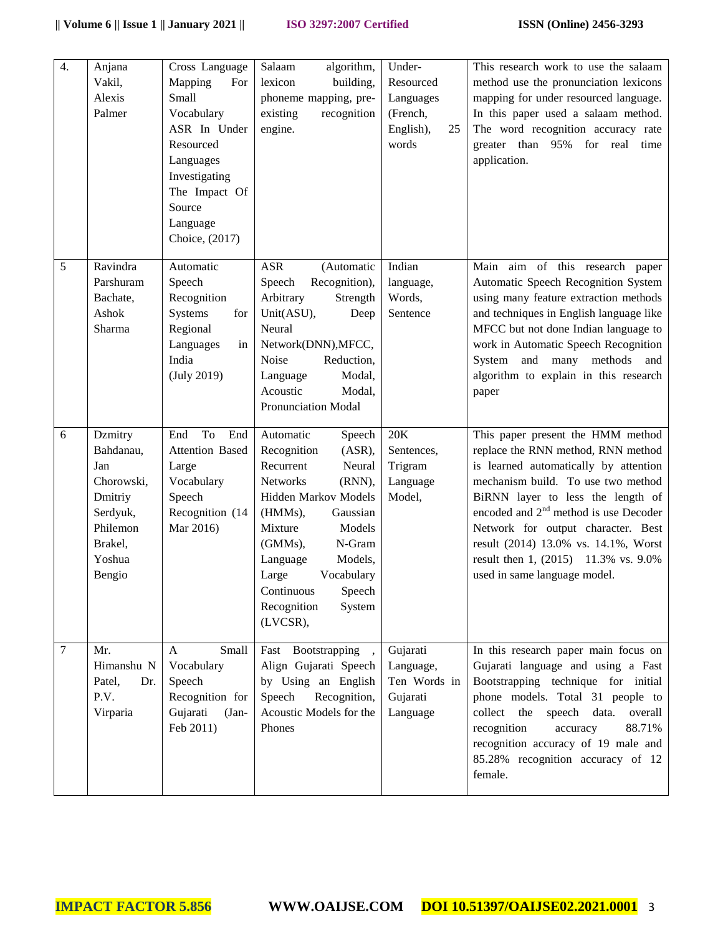| $\overline{4}$ . | Anjana<br>Vakil,<br>Alexis<br>Palmer                                                                        | Cross Language<br>Mapping<br>For<br>Small<br>Vocabulary<br>ASR In Under<br>Resourced<br>Languages<br>Investigating<br>The Impact Of<br>Source<br>Language<br>Choice, (2017) | algorithm,<br>Salaam<br>lexicon<br>building,<br>phoneme mapping, pre-<br>existing<br>recognition<br>engine.                                                                                                                                                                                   | $\overline{U}$ nder-<br>Resourced<br>Languages<br>(French,<br>English),<br>25<br>words | This research work to use the salaam<br>method use the pronunciation lexicons<br>mapping for under resourced language.<br>In this paper used a salaam method.<br>The word recognition accuracy rate<br>greater than 95%<br>for<br>real<br>time<br>application.                                                                                                                               |
|------------------|-------------------------------------------------------------------------------------------------------------|-----------------------------------------------------------------------------------------------------------------------------------------------------------------------------|-----------------------------------------------------------------------------------------------------------------------------------------------------------------------------------------------------------------------------------------------------------------------------------------------|----------------------------------------------------------------------------------------|----------------------------------------------------------------------------------------------------------------------------------------------------------------------------------------------------------------------------------------------------------------------------------------------------------------------------------------------------------------------------------------------|
| 5                | Ravindra<br>Parshuram<br>Bachate,<br>Ashok<br>Sharma                                                        | Automatic<br>Speech<br>Recognition<br>Systems<br>for<br>Regional<br>Languages<br>in<br>India<br>(July 2019)                                                                 | <b>ASR</b><br>(Automatic<br>Recognition),<br>Speech<br>Arbitrary<br>Strength<br>Unit(ASU),<br>Deep<br>Neural<br>Network(DNN), MFCC,<br>Noise<br>Reduction,<br>Modal,<br>Language<br>Acoustic<br>Modal,<br><b>Pronunciation Modal</b>                                                          | Indian<br>language,<br>Words,<br>Sentence                                              | Main aim of this research paper<br>Automatic Speech Recognition System<br>using many feature extraction methods<br>and techniques in English language like<br>MFCC but not done Indian language to<br>work in Automatic Speech Recognition<br>System and many methods<br>and<br>algorithm to explain in this research<br>paper                                                               |
| 6                | Dzmitry<br>Bahdanau,<br>Jan<br>Chorowski,<br>Dmitriy<br>Serdyuk,<br>Philemon<br>Brakel,<br>Yoshua<br>Bengio | To<br>End<br>End<br><b>Attention Based</b><br>Large<br>Vocabulary<br>Speech<br>Recognition (14<br>Mar 2016)                                                                 | Automatic<br>Speech<br>Recognition<br>(ASR),<br>Recurrent<br>Neural<br>Networks<br>(RNN),<br>Hidden Markov Models<br>(HMMs),<br>Gaussian<br>Models<br>Mixture<br>N-Gram<br>(GMMs),<br>Models,<br>Language<br>Large<br>Vocabulary<br>Speech<br>Continuous<br>Recognition<br>System<br>(LVCSR), | 20K<br>Sentences,<br>Trigram<br>Language<br>Model,                                     | This paper present the HMM method<br>replace the RNN method, RNN method<br>is learned automatically by attention<br>mechanism build. To use two method<br>BiRNN layer to less the length of<br>encoded and $2nd$ method is use Decoder<br>Network for output character. Best<br>result (2014) 13.0% vs. 14.1%, Worst<br>result then 1, (2015) 11.3% vs. 9.0%<br>used in same language model. |
| 7                | Mr.<br>Himanshu N<br>Patel,<br>Dr.<br>P.V.<br>Virparia                                                      | Small<br>A<br>Vocabulary<br>Speech<br>Recognition for<br>Gujarati<br>$(Jan -$<br>Feb 2011)                                                                                  | Fast Bootstrapping<br>Align Gujarati Speech<br>by Using an English<br>Recognition,<br>Speech<br>Acoustic Models for the<br>Phones                                                                                                                                                             | Gujarati<br>Language,<br>Ten Words in<br>Gujarati<br>Language                          | In this research paper main focus on<br>Gujarati language and using a Fast<br>Bootstrapping technique for initial<br>phone models. Total 31 people to<br>collect<br>the<br>speech data.<br>overall<br>recognition<br>88.71%<br>accuracy<br>recognition accuracy of 19 male and<br>85.28% recognition accuracy of 12<br>female.                                                               |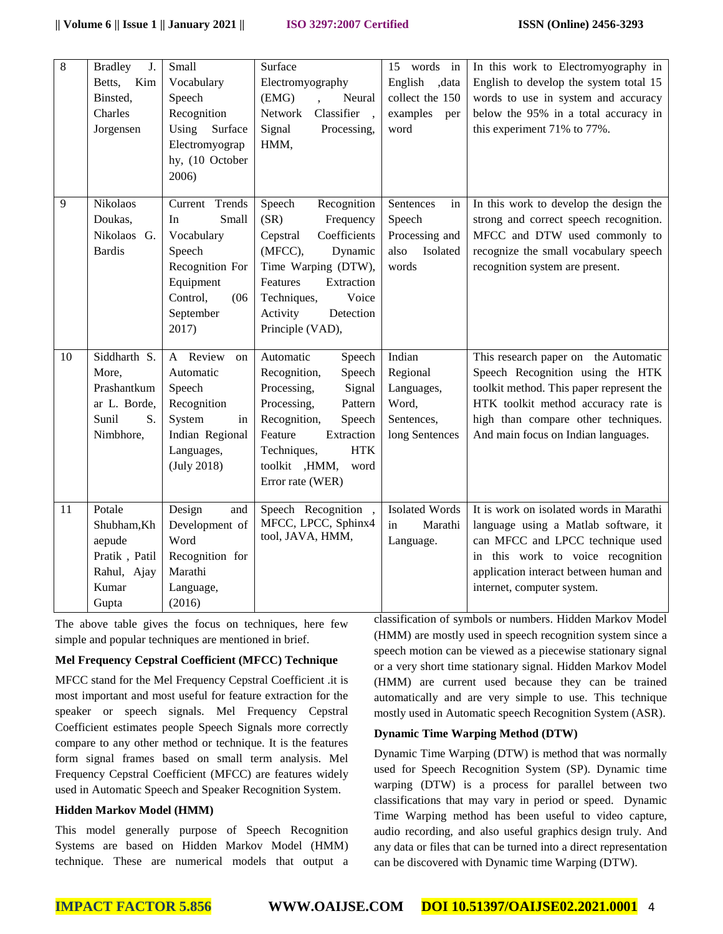| $\overline{8}$ | <b>Bradley</b><br>J. | Small             | Surface                         | 15 words in           | In this work to Electromyography in      |
|----------------|----------------------|-------------------|---------------------------------|-----------------------|------------------------------------------|
|                | Betts,<br>Kim        | Vocabulary        | Electromyography                | ,data<br>English      | English to develop the system total 15   |
|                | Binsted,             | Speech            | (EMG)<br>Neural                 | collect the 150       | words to use in system and accuracy      |
|                | Charles              | Recognition       | Classifier<br>Network<br>$\sim$ | examples<br>per       | below the 95% in a total accuracy in     |
|                | Jorgensen            | Using<br>Surface  | Signal<br>Processing,           | word                  | this experiment 71% to 77%.              |
|                |                      | Electromyograp    | HMM,                            |                       |                                          |
|                |                      | hy, (10 October   |                                 |                       |                                          |
|                |                      | 2006)             |                                 |                       |                                          |
| 9              | Nikolaos             | Current Trends    | Speech<br>Recognition           | Sentences<br>in       | In this work to develop the design the   |
|                | Doukas,              | Small<br>In       | (SR)<br>Frequency               | Speech                | strong and correct speech recognition.   |
|                | Nikolaos G.          | Vocabulary        | Coefficients<br>Cepstral        | Processing and        | MFCC and DTW used commonly to            |
|                | <b>Bardis</b>        | Speech            | (MFCC),<br>Dynamic              | Isolated<br>also      | recognize the small vocabulary speech    |
|                |                      | Recognition For   | Time Warping (DTW),             | words                 | recognition system are present.          |
|                |                      | Equipment         | Features<br>Extraction          |                       |                                          |
|                |                      | Control,<br>(06)  | Voice<br>Techniques,            |                       |                                          |
|                |                      | September         | Activity<br>Detection           |                       |                                          |
|                |                      | 2017)             | Principle (VAD),                |                       |                                          |
| 10             | Siddharth S.         | Review<br>A<br>on | Automatic<br>Speech             | Indian                | This research paper on the Automatic     |
|                | More,                | Automatic         | Recognition,<br>Speech          | Regional              | Speech Recognition using the HTK         |
|                | Prashantkum          | Speech            | Processing,<br>Signal           | Languages,            | toolkit method. This paper represent the |
|                | ar L. Borde,         | Recognition       | Processing,<br>Pattern          | Word,                 | HTK toolkit method accuracy rate is      |
|                | Sunil<br>S.          | System<br>in      | Recognition,<br>Speech          | Sentences,            | high than compare other techniques.      |
|                | Nimbhore,            | Indian Regional   | Feature<br>Extraction           | long Sentences        | And main focus on Indian languages.      |
|                |                      | Languages,        | Techniques,<br><b>HTK</b>       |                       |                                          |
|                |                      | (July 2018)       | toolkit ,HMM,<br>word           |                       |                                          |
|                |                      |                   | Error rate (WER)                |                       |                                          |
| 11             | Potale               | Design<br>and     | Speech Recognition              | <b>Isolated Words</b> | It is work on isolated words in Marathi  |
|                | Shubham, Kh          | Development of    | MFCC, LPCC, Sphinx4             | in<br>Marathi         | language using a Matlab software, it     |
|                | aepude               | Word              | tool, JAVA, HMM,                | Language.             | can MFCC and LPCC technique used         |
|                | Pratik, Patil        | Recognition for   |                                 |                       | in this work to voice recognition        |
|                | Rahul, Ajay          | Marathi           |                                 |                       | application interact between human and   |
|                | Kumar                | Language,         |                                 |                       | internet, computer system.               |
|                | Gupta                | (2016)            |                                 |                       |                                          |

The above table gives the focus on techniques, here few simple and popular techniques are mentioned in brief.

# **Mel Frequency Cepstral Coefficient (MFCC) Technique**

MFCC stand for the Mel Frequency Cepstral Coefficient .it is most important and most useful for feature extraction for the speaker or speech signals. Mel Frequency Cepstral Coefficient estimates people Speech Signals more correctly compare to any other method or technique. It is the features form signal frames based on small term analysis. Mel Frequency Cepstral Coefficient (MFCC) are features widely used in Automatic Speech and Speaker Recognition System.

#### **Hidden Markov Model (HMM)**

This model generally purpose of Speech Recognition Systems are based on Hidden Markov Model (HMM) technique. These are numerical models that output a classification of symbols or numbers. Hidden Markov Model (HMM) are mostly used in speech recognition system since a speech motion can be viewed as a piecewise stationary signal or a very short time stationary signal. Hidden Markov Model (HMM) are current used because they can be trained automatically and are very simple to use. This technique mostly used in Automatic speech Recognition System (ASR).

#### **Dynamic Time Warping Method (DTW)**

Dynamic Time Warping (DTW) is method that was normally used for Speech Recognition System (SP). Dynamic time warping (DTW) is a process for parallel between two classifications that may vary in period or speed. Dynamic Time Warping method has been useful to video capture, audio recording, and also useful graphics design truly. And any data or files that can be turned into a direct representation can be discovered with Dynamic time Warping (DTW).